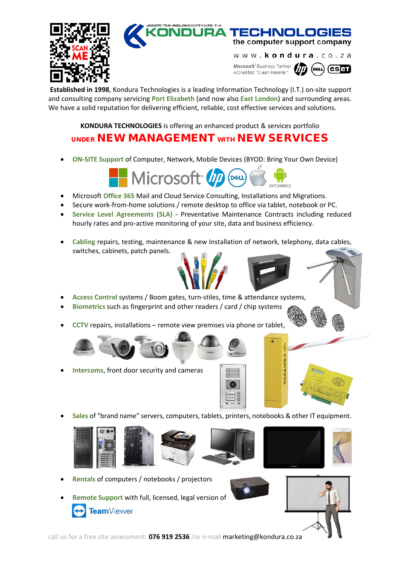

### TE TECHNOLOGIES (PTY) LTD. T/A TECHNOLOGIES

the computer support company

www.kondura.co.za Microsoft® Business Partner  $\left( \mathbf{es} \mathbf{H} \right)$ (deul) Accredited "Clean Reseller'

**Established in 1998**, Kondura Technologies is a leading Information Technology (I.T.) on-site support and consulting company servicing **Port Elizabeth** (and now also **East London**) and surrounding areas. We have a solid reputation for delivering efficient, reliable, cost effective services and solutions.

**KONDURA TECHNOLOGIES** is offering an enhanced product & services portfolio

# UNDER NEW MANAGEMENT WITH NEW SERVICES

• **ON-SITE Support** of Computer, Network, Mobile Devices (BYOD: Bring Your Own Device)



- Microsoft **Office 365** Mail and Cloud Service Consulting, Installations and Migrations.
- Secure work-from-home solutions / remote desktop to office via tablet, notebook or PC.
- **Service Level Agreements (SLA)** Preventative Maintenance Contracts including reduced hourly rates and pro-active monitoring of your site, data and business efficiency.
- **Cabling** repairs, testing, maintenance & new Installation of network, telephony, data cables, switches, cabinets, patch panels.



- **Access Control** systems / Boom gates, turn-stiles, time & attendance systems,
- **Biometrics** such as fingerprint and other readers / card / chip systems
- **CCTV** repairs, installations remote view premises via phone or tablet,
	-
- **Intercoms**, front door security and cameras





• **Sales** of "brand name" servers, computers, tablets, printers, notebooks & other IT equipment.













- **Rentals** of computers / notebooks / projectors
	- **Remote Support** with full, licensed, legal version of TeamViewer

call us for a free site assessment: **076 919 2536** /or e-mail marketing@kondura.co.za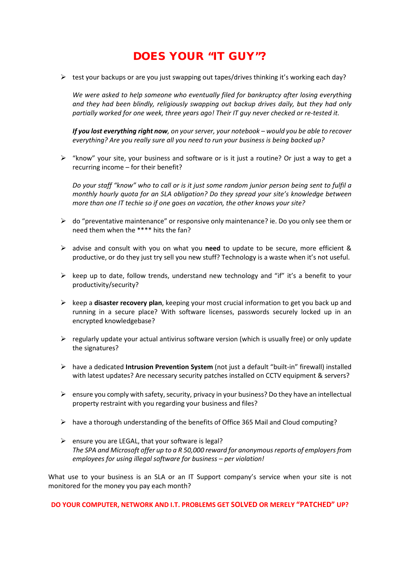## DOES YOUR "IT GUY"?

 $\triangleright$  test your backups or are you just swapping out tapes/drives thinking it's working each day?

*We were asked to help someone who eventually filed for bankruptcy after losing everything and they had been blindly, religiously swapping out backup drives daily, but they had only partially worked for one week, three years ago! Their IT guy never checked or re-tested it.*

*If you lost everything right now, on your server, your notebook – would you be able to recover everything? Are you really sure all you need to run your business is being backed up?*

 $\triangleright$  "know" your site, your business and software or is it just a routine? Or just a way to get a recurring income – for their benefit?

*Do your staff "know" who to call or is it just some random junior person being sent to fulfil a monthly hourly quota for an SLA obligation? Do they spread your site's knowledge between more than one IT techie so if one goes on vacation, the other knows your site?*

- $\triangleright$  do "preventative maintenance" or responsive only maintenance? ie. Do you only see them or need them when the \*\*\*\* hits the fan?
- advise and consult with you on what you **need** to update to be secure, more efficient & productive, or do they just try sell you new stuff? Technology is a waste when it's not useful.
- $\triangleright$  keep up to date, follow trends, understand new technology and "if" it's a benefit to your productivity/security?
- $\triangleright$  keep a **disaster recovery plan**, keeping your most crucial information to get you back up and running in a secure place? With software licenses, passwords securely locked up in an encrypted knowledgebase?
- $\triangleright$  regularly update your actual antivirus software version (which is usually free) or only update the signatures?
- have a dedicated **Intrusion Prevention System** (not just a default "built-in" firewall) installed with latest updates? Are necessary security patches installed on CCTV equipment & servers?
- $\triangleright$  ensure you comply with safety, security, privacy in your business? Do they have an intellectual property restraint with you regarding your business and files?
- $\triangleright$  have a thorough understanding of the benefits of Office 365 Mail and Cloud computing?
- $\triangleright$  ensure you are LEGAL, that your software is legal? *The SPA and Microsoft offer up to a R 50,000 reward for anonymous reports of employers from employees for using illegal software for business – per violation!*

What use to your business is an SLA or an IT Support company's service when your site is not monitored for the money you pay each month?

**DO YOUR COMPUTER, NETWORK AND I.T. PROBLEMS GET SOLVED OR MERELY "PATCHED" UP?**